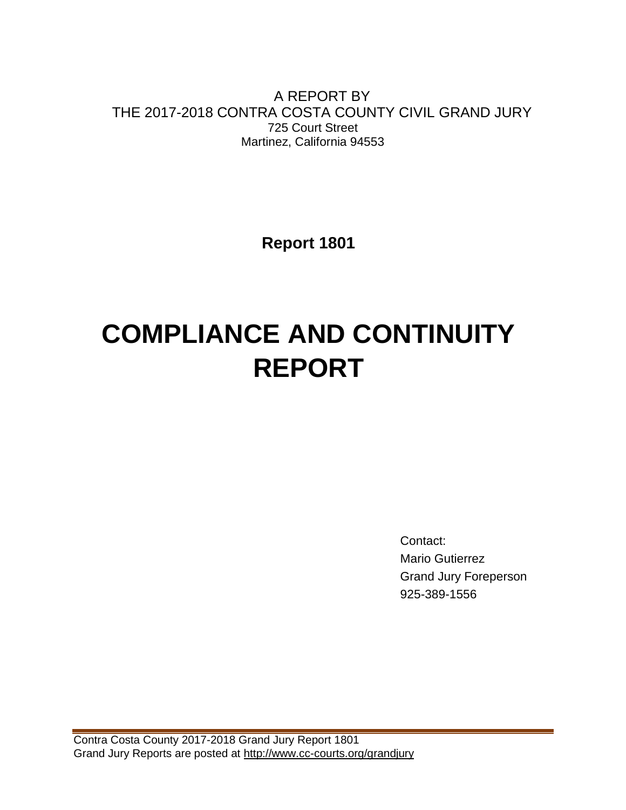A REPORT BY THE 2017-2018 CONTRA COSTA COUNTY CIVIL GRAND JURY 725 Court Street Martinez, California 94553

**Report 1801**

# **COMPLIANCE AND CONTINUITY REPORT**

Contact: Mario Gutierrez Grand Jury Foreperson 925-389-1556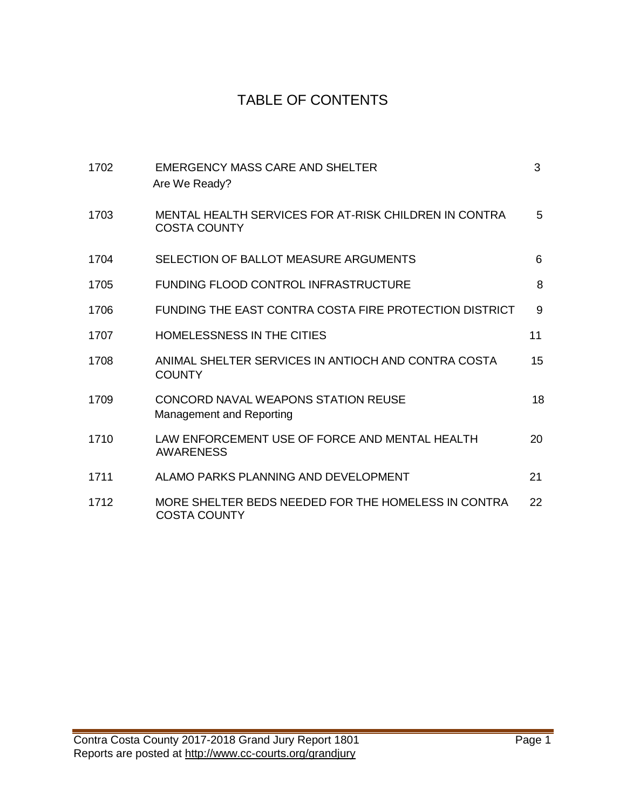# TABLE OF CONTENTS

| 1702 | EMERGENCY MASS CARE AND SHELTER<br>Are We Ready?                             | 3  |
|------|------------------------------------------------------------------------------|----|
| 1703 | MENTAL HEALTH SERVICES FOR AT-RISK CHILDREN IN CONTRA<br><b>COSTA COUNTY</b> | 5  |
| 1704 | SELECTION OF BALLOT MEASURE ARGUMENTS                                        | 6  |
| 1705 | FUNDING FLOOD CONTROL INFRASTRUCTURE                                         | 8  |
| 1706 | FUNDING THE EAST CONTRA COSTA FIRE PROTECTION DISTRICT                       | 9  |
| 1707 | <b>HOMELESSNESS IN THE CITIES</b>                                            | 11 |
| 1708 | ANIMAL SHELTER SERVICES IN ANTIOCH AND CONTRA COSTA<br><b>COUNTY</b>         | 15 |
| 1709 | CONCORD NAVAL WEAPONS STATION REUSE<br>Management and Reporting              | 18 |
| 1710 | LAW ENFORCEMENT USE OF FORCE AND MENTAL HEALTH<br><b>AWARENESS</b>           | 20 |
| 1711 | ALAMO PARKS PLANNING AND DEVELOPMENT                                         | 21 |
| 1712 | MORE SHELTER BEDS NEEDED FOR THE HOMELESS IN CONTRA<br><b>COSTA COUNTY</b>   | 22 |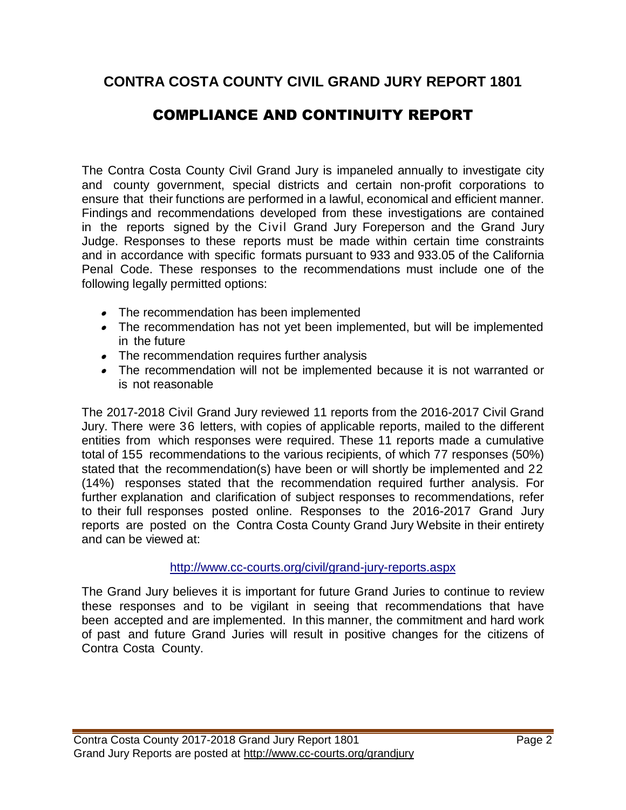## **CONTRA COSTA COUNTY CIVIL GRAND JURY REPORT 1801**

# COMPLIANCE AND CONTINUITY REPORT

The Contra Costa County Civil Grand Jury is impaneled annually to investigate city and county government, special districts and certain non-profit corporations to ensure that their functions are performed in a lawful, economical and efficient manner. Findings and recommendations developed from these investigations are contained in the reports signed by the Civil Grand Jury Foreperson and the Grand Jury Judge. Responses to these reports must be made within certain time constraints and in accordance with specific formats pursuant to 933 and 933.05 of the California Penal Code. These responses to the recommendations must include one of the following legally permitted options:

- The recommendation has been implemented
- The recommendation has not yet been implemented, but will be implemented in the future
- The recommendation requires further analysis
- The recommendation will not be implemented because it is not warranted or is not reasonable

The 2017-2018 Civil Grand Jury reviewed 11 reports from the 2016-2017 Civil Grand Jury. There were 36 letters, with copies of applicable reports, mailed to the different entities from which responses were required. These 11 reports made a cumulative total of 155 recommendations to the various recipients, of which 77 responses (50%) stated that the recommendation(s) have been or will shortly be implemented and 22 (14%) responses stated that the recommendation required further analysis. For further explanation and clarification of subject responses to recommendations, refer to their full responses posted online. Responses to the 2016-2017 Grand Jury reports are posted on the Contra Costa County Grand Jury Website in their entirety and can be viewed at:

#### <http://www.cc-courts.org/civil/grand-jury-reports.aspx>

The Grand Jury believes it is important for future Grand Juries to continue to review these responses and to be vigilant in seeing that recommendations that have been accepted and are implemented. In this manner, the commitment and hard work of past and future Grand Juries will result in positive changes for the citizens of Contra Costa County.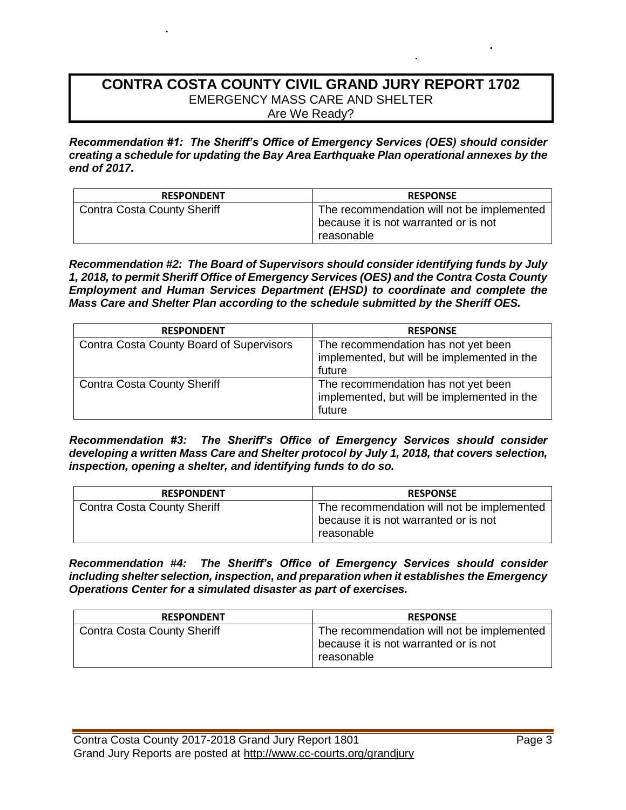#### **CONTRA COSTA COUNTY CIVIL GRAND JURY REPORT 1702** EMERGENCY MASS CARE AND SHELTER Are We Ready?

*Recommendation #1: The Sheriff's Office of Emergency Services (OES) should consider creating a schedule for updating the Bay Area Earthquake Plan operational annexes by the end of 2017.*

| <b>RESPONDENT</b>                  | <b>RESPONSE</b>                                                                                   |
|------------------------------------|---------------------------------------------------------------------------------------------------|
| <b>Contra Costa County Sheriff</b> | The recommendation will not be implemented<br>because it is not warranted or is not<br>reasonable |

*Recommendation #2: The Board of Supervisors should consider identifying funds by July 1, 2018, to permit Sheriff Office of Emergency Services (OES) and the Contra Costa County Employment and Human Services Department (EHSD) to coordinate and complete the Mass Care and Shelter Plan according to the schedule submitted by the Sheriff OES.*

| <b>RESPONDENT</b>                               | <b>RESPONSE</b>                                                                              |
|-------------------------------------------------|----------------------------------------------------------------------------------------------|
| <b>Contra Costa County Board of Supervisors</b> | The recommendation has not yet been<br>implemented, but will be implemented in the<br>future |
| <b>Contra Costa County Sheriff</b>              | The recommendation has not yet been<br>implemented, but will be implemented in the<br>future |

*Recommendation #3: The Sheriff's Office of Emergency Services should consider developing a written Mass Care and Shelter protocol by July 1, 2018, that covers selection, inspection, opening a shelter, and identifying funds to do so.*

| <b>RESPONDENT</b>                  | <b>RESPONSE</b>                                                                                   |
|------------------------------------|---------------------------------------------------------------------------------------------------|
| <b>Contra Costa County Sheriff</b> | The recommendation will not be implemented<br>because it is not warranted or is not<br>reasonable |

*Recommendation #4: The Sheriff's Office of Emergency Services should consider including shelter selection, inspection, and preparation when it establishes the Emergency Operations Center for a simulated disaster as part of exercises.*

| <b>RESPONDENT</b>                  | <b>RESPONSE</b>                                                                                   |
|------------------------------------|---------------------------------------------------------------------------------------------------|
| <b>Contra Costa County Sheriff</b> | The recommendation will not be implemented<br>because it is not warranted or is not<br>reasonable |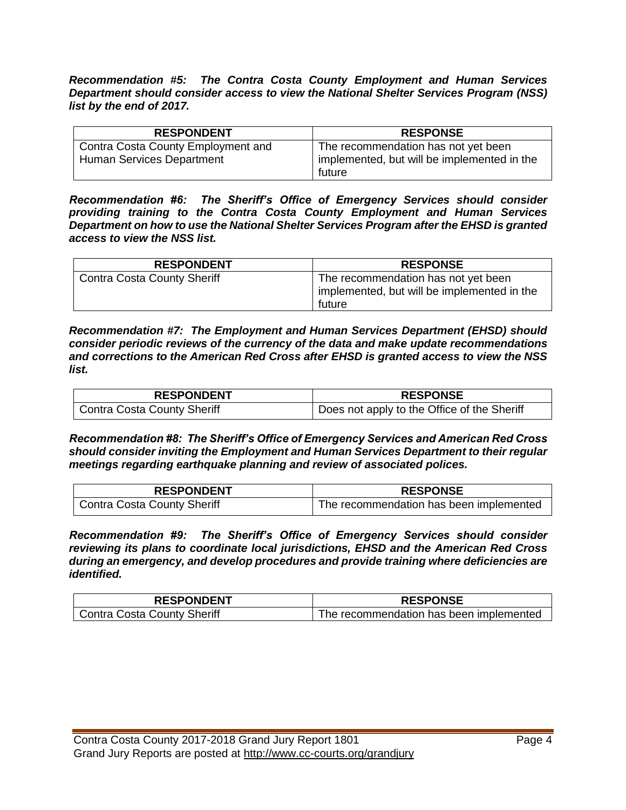*Recommendation #5: The Contra Costa County Employment and Human Services Department should consider access to view the National Shelter Services Program (NSS) list by the end of 2017.*

| <b>RESPONDENT</b>                                                      | <b>RESPONSE</b>                                                                    |
|------------------------------------------------------------------------|------------------------------------------------------------------------------------|
| Contra Costa County Employment and<br><b>Human Services Department</b> | The recommendation has not yet been<br>implemented, but will be implemented in the |
|                                                                        | future                                                                             |

*Recommendation #6: The Sheriff's Office of Emergency Services should consider providing training to the Contra Costa County Employment and Human Services Department on how to use the National Shelter Services Program after the EHSD is granted access to view the NSS list.*

| <b>RESPONDENT</b>                  | <b>RESPONSE</b>                                                                              |
|------------------------------------|----------------------------------------------------------------------------------------------|
| <b>Contra Costa County Sheriff</b> | The recommendation has not yet been<br>implemented, but will be implemented in the<br>future |

*Recommendation #7: The Employment and Human Services Department (EHSD) should consider periodic reviews of the currency of the data and make update recommendations and corrections to the American Red Cross after EHSD is granted access to view the NSS list.*

| <b>RESPONDENT</b>           | <b>RESPONSE</b>                             |
|-----------------------------|---------------------------------------------|
| Contra Costa County Sheriff | Does not apply to the Office of the Sheriff |

*Recommendation #8: The Sheriff's Office of Emergency Services and American Red Cross should consider inviting the Employment and Human Services Department to their regular meetings regarding earthquake planning and review of associated polices.*

| <b>RESPONDENT</b>                  | <b>RESPONSE</b>                         |
|------------------------------------|-----------------------------------------|
| <b>Contra Costa County Sheriff</b> | The recommendation has been implemented |

*Recommendation #9: The Sheriff's Office of Emergency Services should consider reviewing its plans to coordinate local jurisdictions, EHSD and the American Red Cross during an emergency, and develop procedures and provide training where deficiencies are identified.*

| <b>RESPONDENT</b>           | <b>RESPONSE</b>                         |
|-----------------------------|-----------------------------------------|
| Contra Costa County Sheriff | The recommendation has been implemented |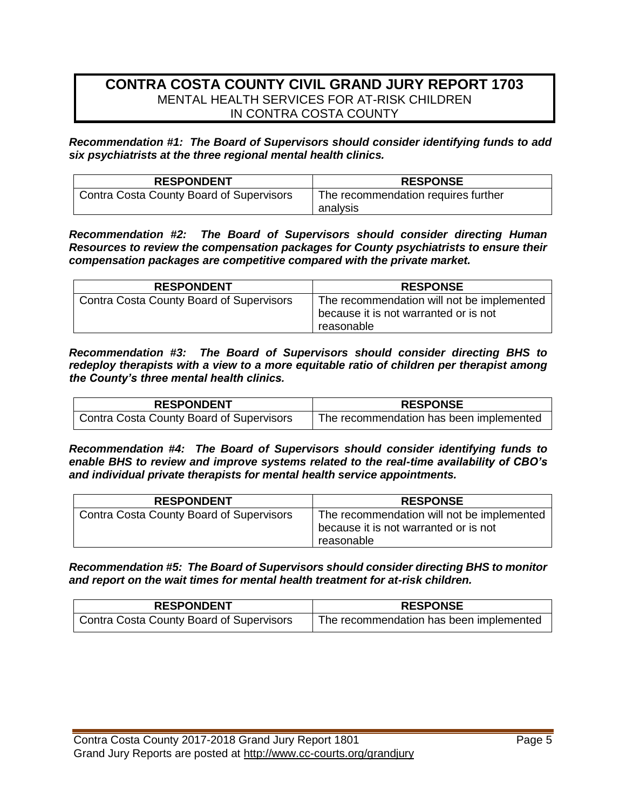#### **CONTRA COSTA COUNTY CIVIL GRAND JURY REPORT 1703** MENTAL HEALTH SERVICES FOR AT-RISK CHILDREN IN CONTRA COSTA COUNTY

*Recommendation #1: The Board of Supervisors should consider identifying funds to add six psychiatrists at the three regional mental health clinics.*

| <b>RESPONDENT</b>                        | <b>RESPONSE</b>                     |
|------------------------------------------|-------------------------------------|
| Contra Costa County Board of Supervisors | The recommendation requires further |
|                                          | analysis                            |

*Recommendation #2: The Board of Supervisors should consider directing Human Resources to review the compensation packages for County psychiatrists to ensure their compensation packages are competitive compared with the private market.* 

| <b>RESPONDENT</b>                               | <b>RESPONSE</b>                                                                                   |
|-------------------------------------------------|---------------------------------------------------------------------------------------------------|
| <b>Contra Costa County Board of Supervisors</b> | The recommendation will not be implemented<br>because it is not warranted or is not<br>reasonable |

*Recommendation #3: The Board of Supervisors should consider directing BHS to redeploy therapists with a view to a more equitable ratio of children per therapist among the County's three mental health clinics.*

| <b>RESPONDENT</b>                        | <b>RESPONSE</b>                         |
|------------------------------------------|-----------------------------------------|
| Contra Costa County Board of Supervisors | The recommendation has been implemented |

*Recommendation #4: The Board of Supervisors should consider identifying funds to enable BHS to review and improve systems related to the real-time availability of CBO's and individual private therapists for mental health service appointments.*

| <b>RESPONDENT</b>                               | <b>RESPONSE</b>                                                                                   |
|-------------------------------------------------|---------------------------------------------------------------------------------------------------|
| <b>Contra Costa County Board of Supervisors</b> | The recommendation will not be implemented<br>because it is not warranted or is not<br>reasonable |

*Recommendation #5: The Board of Supervisors should consider directing BHS to monitor and report on the wait times for mental health treatment for at-risk children.*

| <b>RESPONDENT</b>                        | <b>RESPONSE</b>                         |
|------------------------------------------|-----------------------------------------|
| Contra Costa County Board of Supervisors | The recommendation has been implemented |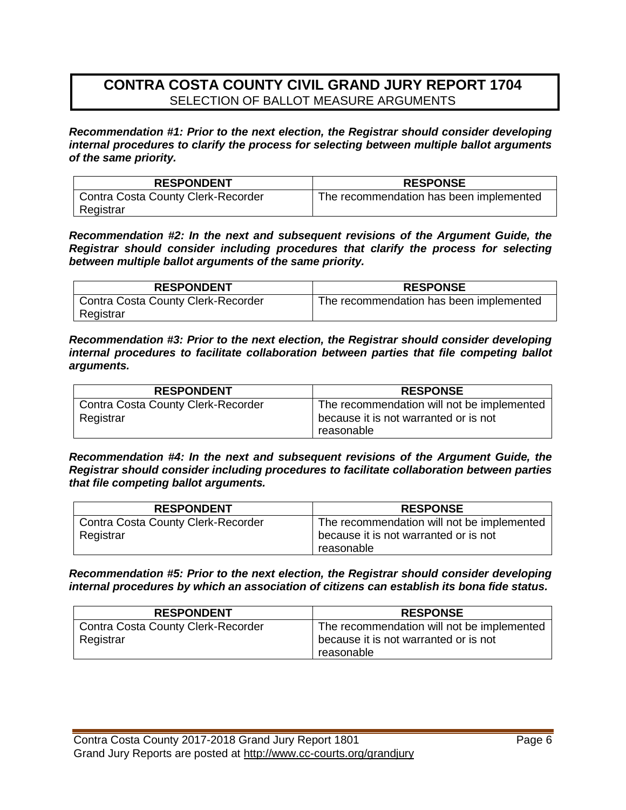## **CONTRA COSTA COUNTY CIVIL GRAND JURY REPORT 1704**  SELECTION OF BALLOT MEASURE ARGUMENTS

*Recommendation #1: Prior to the next election, the Registrar should consider developing internal procedures to clarify the process for selecting between multiple ballot arguments of the same priority.*

| <b>RESPONDENT</b>                         | <b>RESPONSE</b>                         |
|-------------------------------------------|-----------------------------------------|
| <b>Contra Costa County Clerk-Recorder</b> | The recommendation has been implemented |
| Registrar                                 |                                         |

*Recommendation #2: In the next and subsequent revisions of the Argument Guide, the Registrar should consider including procedures that clarify the process for selecting between multiple ballot arguments of the same priority.*

| <b>RESPONDENT</b>                         | <b>RESPONSE</b>                         |
|-------------------------------------------|-----------------------------------------|
| <b>Contra Costa County Clerk-Recorder</b> | The recommendation has been implemented |
| Registrar                                 |                                         |

*Recommendation #3: Prior to the next election, the Registrar should consider developing internal procedures to facilitate collaboration between parties that file competing ballot arguments.*

| <b>RESPONDENT</b>                         | <b>RESPONSE</b>                            |
|-------------------------------------------|--------------------------------------------|
| <b>Contra Costa County Clerk-Recorder</b> | The recommendation will not be implemented |
| Registrar                                 | because it is not warranted or is not      |
|                                           | reasonable                                 |

*Recommendation #4: In the next and subsequent revisions of the Argument Guide, the Registrar should consider including procedures to facilitate collaboration between parties that file competing ballot arguments.*

| <b>RESPONDENT</b>                  | <b>RESPONSE</b>                            |
|------------------------------------|--------------------------------------------|
| Contra Costa County Clerk-Recorder | The recommendation will not be implemented |
| Registrar                          | because it is not warranted or is not      |
|                                    | reasonable                                 |

*Recommendation #5: Prior to the next election, the Registrar should consider developing internal procedures by which an association of citizens can establish its bona fide status.*

| <b>RESPONDENT</b>                  | <b>RESPONSE</b>                            |
|------------------------------------|--------------------------------------------|
| Contra Costa County Clerk-Recorder | The recommendation will not be implemented |
| Registrar                          | because it is not warranted or is not      |
|                                    | reasonable                                 |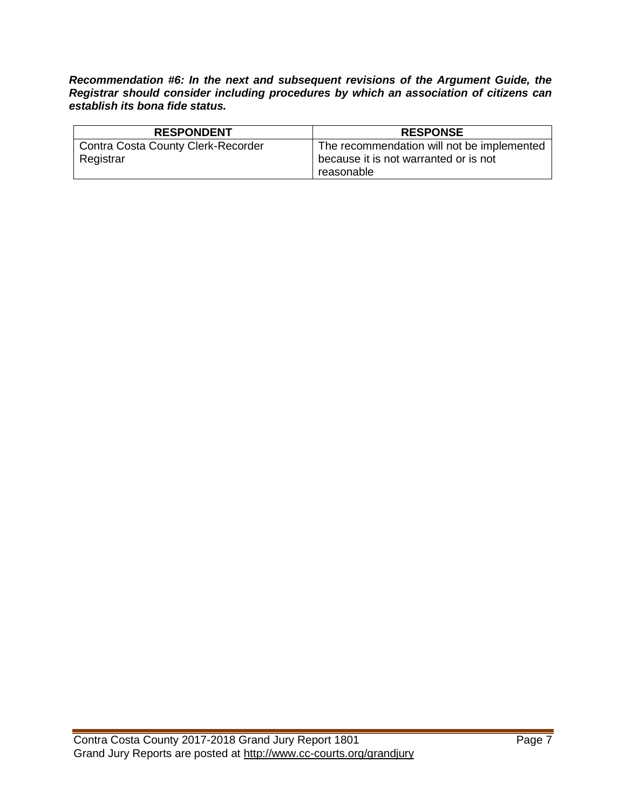*Recommendation #6: In the next and subsequent revisions of the Argument Guide, the Registrar should consider including procedures by which an association of citizens can establish its bona fide status.*

| <b>RESPONDENT</b>                         | <b>RESPONSE</b>                            |
|-------------------------------------------|--------------------------------------------|
| <b>Contra Costa County Clerk-Recorder</b> | The recommendation will not be implemented |
| Registrar                                 | because it is not warranted or is not      |
|                                           | reasonable                                 |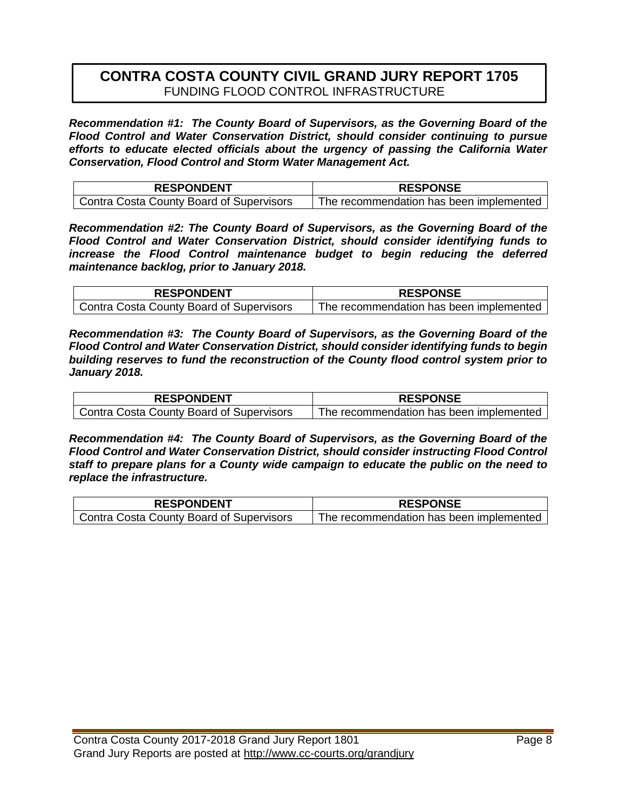### **CONTRA COSTA COUNTY CIVIL GRAND JURY REPORT 1705** FUNDING FLOOD CONTROL INFRASTRUCTURE

*Recommendation #1: The County Board of Supervisors, as the Governing Board of the Flood Control and Water Conservation District, should consider continuing to pursue efforts to educate elected officials about the urgency of passing the California Water Conservation, Flood Control and Storm Water Management Act.*

| <b>RESPONDENT</b>                        | <b>RESPONSE</b>                         |
|------------------------------------------|-----------------------------------------|
| Contra Costa County Board of Supervisors | The recommendation has been implemented |

*Recommendation #2: The County Board of Supervisors, as the Governing Board of the Flood Control and Water Conservation District, should consider identifying funds to increase the Flood Control maintenance budget to begin reducing the deferred maintenance backlog, prior to January 2018.*

| <b>RESPONDENT</b>                        | <b>RESPONSE</b>                         |
|------------------------------------------|-----------------------------------------|
| Contra Costa County Board of Supervisors | The recommendation has been implemented |

*Recommendation #3: The County Board of Supervisors, as the Governing Board of the Flood Control and Water Conservation District, should consider identifying funds to begin building reserves to fund the reconstruction of the County flood control system prior to January 2018.*

| <b>RESPONDENT</b>                        | <b>RESPONSE</b>                         |
|------------------------------------------|-----------------------------------------|
| Contra Costa County Board of Supervisors | The recommendation has been implemented |

*Recommendation #4: The County Board of Supervisors, as the Governing Board of the Flood Control and Water Conservation District, should consider instructing Flood Control staff to prepare plans for a County wide campaign to educate the public on the need to replace the infrastructure.*

| <b>RESPONDENT</b>                        | <b>RESPONSE</b>                         |
|------------------------------------------|-----------------------------------------|
| Contra Costa County Board of Supervisors | The recommendation has been implemented |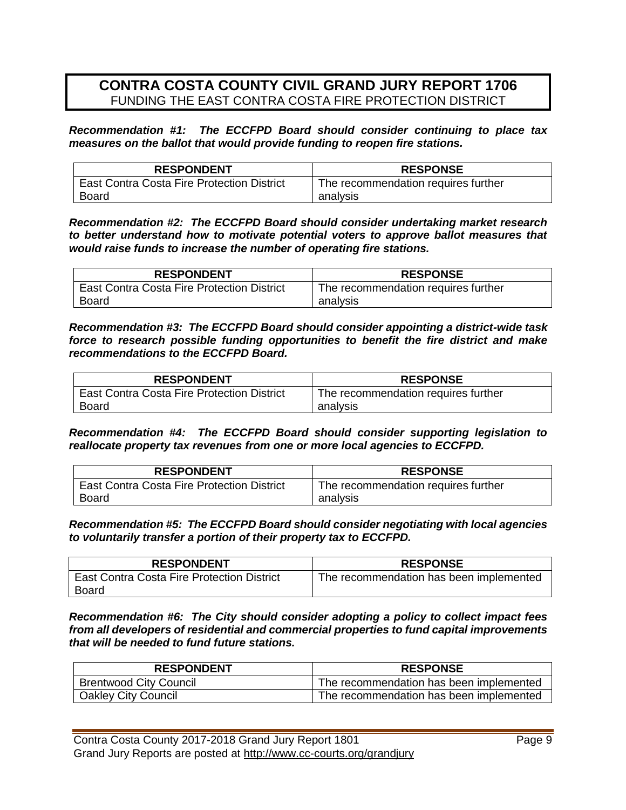### **CONTRA COSTA COUNTY CIVIL GRAND JURY REPORT 1706** FUNDING THE EAST CONTRA COSTA FIRE PROTECTION DISTRICT

*Recommendation #1: The ECCFPD Board should consider continuing to place tax measures on the ballot that would provide funding to reopen fire stations.*

| <b>RESPONDENT</b>                                 | <b>RESPONSE</b>                     |
|---------------------------------------------------|-------------------------------------|
| <b>East Contra Costa Fire Protection District</b> | The recommendation requires further |
| Board                                             | analysis                            |

*Recommendation #2: The ECCFPD Board should consider undertaking market research to better understand how to motivate potential voters to approve ballot measures that would raise funds to increase the number of operating fire stations.*

| <b>RESPONDENT</b>                                 | <b>RESPONSE</b>                     |
|---------------------------------------------------|-------------------------------------|
| <b>East Contra Costa Fire Protection District</b> | The recommendation requires further |
| <b>Board</b>                                      | analysis                            |

*Recommendation #3: The ECCFPD Board should consider appointing a district-wide task force to research possible funding opportunities to benefit the fire district and make recommendations to the ECCFPD Board.*

| <b>RESPONDENT</b>                                 | <b>RESPONSE</b>                     |
|---------------------------------------------------|-------------------------------------|
| <b>East Contra Costa Fire Protection District</b> | The recommendation requires further |
| Board                                             | analysis                            |

*Recommendation #4: The ECCFPD Board should consider supporting legislation to reallocate property tax revenues from one or more local agencies to ECCFPD.*

| <b>RESPONDENT</b>                                 | <b>RESPONSE</b>                     |
|---------------------------------------------------|-------------------------------------|
| <b>East Contra Costa Fire Protection District</b> | The recommendation requires further |
| Board                                             | analysis                            |

*Recommendation #5: The ECCFPD Board should consider negotiating with local agencies to voluntarily transfer a portion of their property tax to ECCFPD.*

| <b>RESPONDENT</b>                                   | <b>RESPONSE</b>                         |
|-----------------------------------------------------|-----------------------------------------|
| East Contra Costa Fire Protection District<br>Board | The recommendation has been implemented |

*Recommendation #6: The City should consider adopting a policy to collect impact fees from all developers of residential and commercial properties to fund capital improvements that will be needed to fund future stations.*

| <b>RESPONDENT</b>             | <b>RESPONSE</b>                         |
|-------------------------------|-----------------------------------------|
| <b>Brentwood City Council</b> | The recommendation has been implemented |
| <b>Oakley City Council</b>    | The recommendation has been implemented |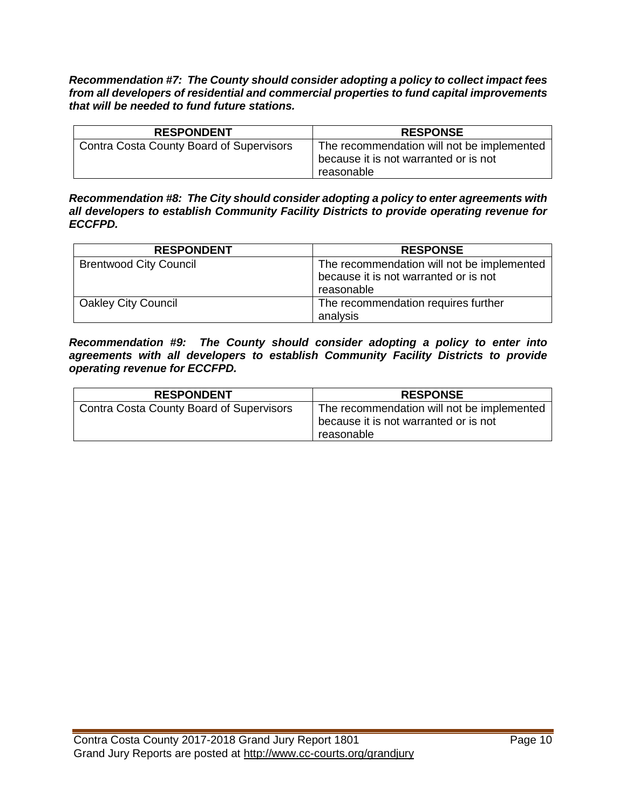*Recommendation #7: The County should consider adopting a policy to collect impact fees from all developers of residential and commercial properties to fund capital improvements that will be needed to fund future stations.*

| <b>RESPONDENT</b>                               | <b>RESPONSE</b>                                                                                   |
|-------------------------------------------------|---------------------------------------------------------------------------------------------------|
| <b>Contra Costa County Board of Supervisors</b> | The recommendation will not be implemented<br>because it is not warranted or is not<br>reasonable |

*Recommendation #8: The City should consider adopting a policy to enter agreements with all developers to establish Community Facility Districts to provide operating revenue for ECCFPD.*

| <b>RESPONDENT</b>             | <b>RESPONSE</b>                                     |
|-------------------------------|-----------------------------------------------------|
| <b>Brentwood City Council</b> | The recommendation will not be implemented          |
|                               | because it is not warranted or is not<br>reasonable |
| <b>Oakley City Council</b>    | The recommendation requires further                 |
|                               | analysis                                            |

#### *Recommendation #9: The County should consider adopting a policy to enter into agreements with all developers to establish Community Facility Districts to provide operating revenue for ECCFPD.*

| <b>RESPONDENT</b>                               | <b>RESPONSE</b>                                                                                   |
|-------------------------------------------------|---------------------------------------------------------------------------------------------------|
| <b>Contra Costa County Board of Supervisors</b> | The recommendation will not be implemented<br>because it is not warranted or is not<br>reasonable |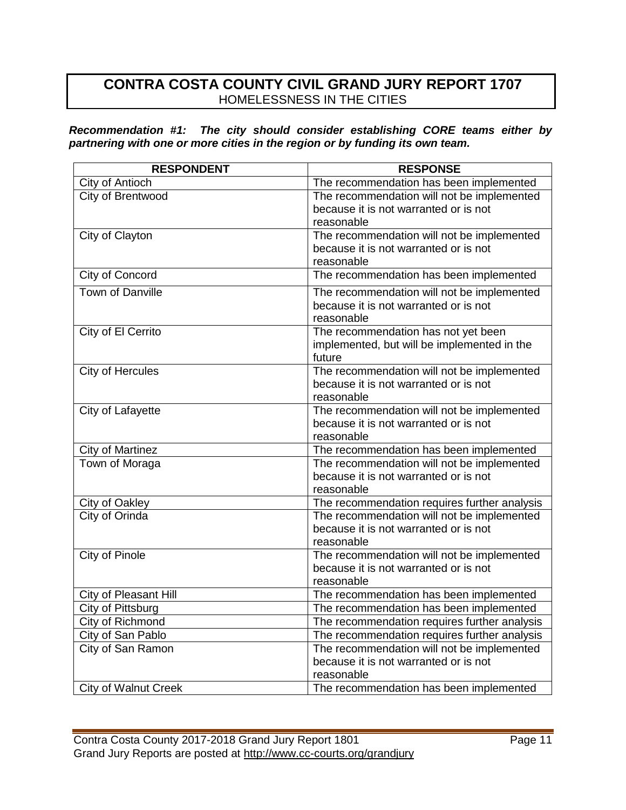### **CONTRA COSTA COUNTY CIVIL GRAND JURY REPORT 1707**  HOMELESSNESS IN THE CITIES

*Recommendation #1: The city should consider establishing CORE teams either by partnering with one or more cities in the region or by funding its own team.*

| <b>RESPONDENT</b>           | <b>RESPONSE</b>                                                                                   |
|-----------------------------|---------------------------------------------------------------------------------------------------|
| City of Antioch             | The recommendation has been implemented                                                           |
| City of Brentwood           | The recommendation will not be implemented<br>because it is not warranted or is not<br>reasonable |
| City of Clayton             | The recommendation will not be implemented<br>because it is not warranted or is not<br>reasonable |
| City of Concord             | The recommendation has been implemented                                                           |
| <b>Town of Danville</b>     | The recommendation will not be implemented<br>because it is not warranted or is not<br>reasonable |
| City of El Cerrito          | The recommendation has not yet been<br>implemented, but will be implemented in the<br>future      |
| City of Hercules            | The recommendation will not be implemented<br>because it is not warranted or is not<br>reasonable |
| City of Lafayette           | The recommendation will not be implemented<br>because it is not warranted or is not<br>reasonable |
| <b>City of Martinez</b>     | The recommendation has been implemented                                                           |
| <b>Town of Moraga</b>       | The recommendation will not be implemented<br>because it is not warranted or is not<br>reasonable |
| City of Oakley              | The recommendation requires further analysis                                                      |
| City of Orinda              | The recommendation will not be implemented<br>because it is not warranted or is not<br>reasonable |
| <b>City of Pinole</b>       | The recommendation will not be implemented<br>because it is not warranted or is not<br>reasonable |
| City of Pleasant Hill       | The recommendation has been implemented                                                           |
| City of Pittsburg           | The recommendation has been implemented                                                           |
| <b>City of Richmond</b>     | The recommendation requires further analysis                                                      |
| City of San Pablo           | The recommendation requires further analysis                                                      |
| City of San Ramon           | The recommendation will not be implemented<br>because it is not warranted or is not<br>reasonable |
| <b>City of Walnut Creek</b> | The recommendation has been implemented                                                           |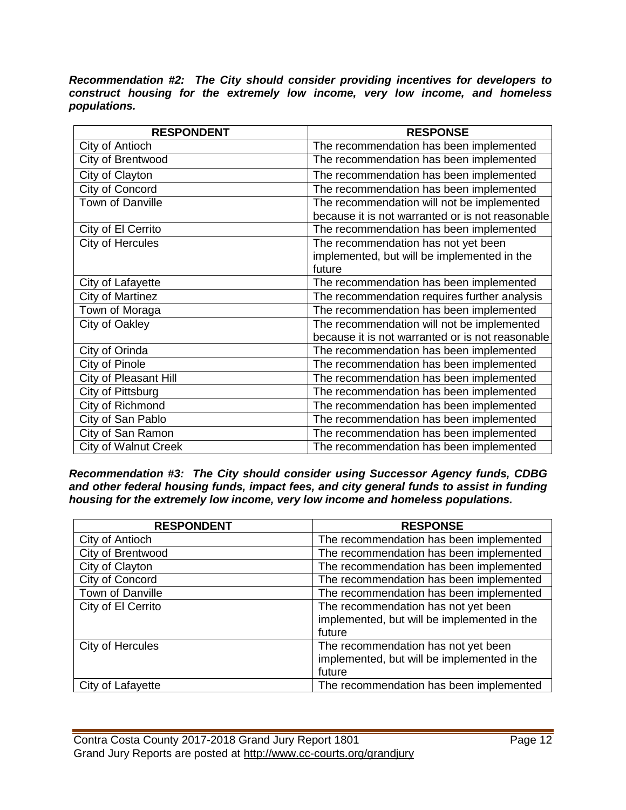*Recommendation #2: The City should consider providing incentives for developers to construct housing for the extremely low income, very low income, and homeless populations.*

| <b>RESPONDENT</b>            | <b>RESPONSE</b>                                  |
|------------------------------|--------------------------------------------------|
| City of Antioch              | The recommendation has been implemented          |
| City of Brentwood            | The recommendation has been implemented          |
| City of Clayton              | The recommendation has been implemented          |
| City of Concord              | The recommendation has been implemented          |
| Town of Danville             | The recommendation will not be implemented       |
|                              | because it is not warranted or is not reasonable |
| City of El Cerrito           | The recommendation has been implemented          |
| City of Hercules             | The recommendation has not yet been              |
|                              | implemented, but will be implemented in the      |
|                              | future                                           |
| City of Lafayette            | The recommendation has been implemented          |
| City of Martinez             | The recommendation requires further analysis     |
| Town of Moraga               | The recommendation has been implemented          |
| City of Oakley               | The recommendation will not be implemented       |
|                              | because it is not warranted or is not reasonable |
| City of Orinda               | The recommendation has been implemented          |
| City of Pinole               | The recommendation has been implemented          |
| <b>City of Pleasant Hill</b> | The recommendation has been implemented          |
| City of Pittsburg            | The recommendation has been implemented          |
| City of Richmond             | The recommendation has been implemented          |
| City of San Pablo            | The recommendation has been implemented          |
| City of San Ramon            | The recommendation has been implemented          |
| <b>City of Walnut Creek</b>  | The recommendation has been implemented          |

*Recommendation #3: The City should consider using Successor Agency funds, CDBG and other federal housing funds, impact fees, and city general funds to assist in funding housing for the extremely low income, very low income and homeless populations.*

| <b>RESPONDENT</b>  | <b>RESPONSE</b>                             |
|--------------------|---------------------------------------------|
| City of Antioch    | The recommendation has been implemented     |
| City of Brentwood  | The recommendation has been implemented     |
| City of Clayton    | The recommendation has been implemented     |
| City of Concord    | The recommendation has been implemented     |
| Town of Danville   | The recommendation has been implemented     |
| City of El Cerrito | The recommendation has not yet been         |
|                    | implemented, but will be implemented in the |
|                    | future                                      |
| City of Hercules   | The recommendation has not yet been         |
|                    | implemented, but will be implemented in the |
|                    | future                                      |
| City of Lafayette  | The recommendation has been implemented     |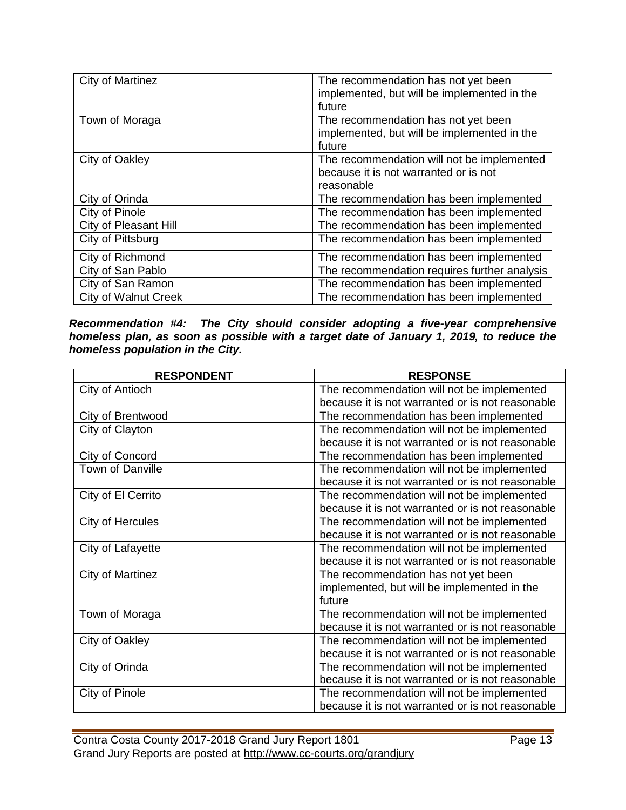| City of Martinez            | The recommendation has not yet been<br>implemented, but will be implemented in the<br>future      |
|-----------------------------|---------------------------------------------------------------------------------------------------|
| Town of Moraga              | The recommendation has not yet been<br>implemented, but will be implemented in the<br>future      |
| City of Oakley              | The recommendation will not be implemented<br>because it is not warranted or is not<br>reasonable |
| City of Orinda              | The recommendation has been implemented                                                           |
| City of Pinole              | The recommendation has been implemented                                                           |
| City of Pleasant Hill       | The recommendation has been implemented                                                           |
| City of Pittsburg           | The recommendation has been implemented                                                           |
| City of Richmond            | The recommendation has been implemented                                                           |
| City of San Pablo           | The recommendation requires further analysis                                                      |
| City of San Ramon           | The recommendation has been implemented                                                           |
| <b>City of Walnut Creek</b> | The recommendation has been implemented                                                           |

*Recommendation #4: The City should consider adopting a five-year comprehensive homeless plan, as soon as possible with a target date of January 1, 2019, to reduce the homeless population in the City.*

| <b>RESPONDENT</b>       | <b>RESPONSE</b>                                  |
|-------------------------|--------------------------------------------------|
| City of Antioch         | The recommendation will not be implemented       |
|                         | because it is not warranted or is not reasonable |
| City of Brentwood       | The recommendation has been implemented          |
| City of Clayton         | The recommendation will not be implemented       |
|                         | because it is not warranted or is not reasonable |
| City of Concord         | The recommendation has been implemented          |
| <b>Town of Danville</b> | The recommendation will not be implemented       |
|                         | because it is not warranted or is not reasonable |
| City of El Cerrito      | The recommendation will not be implemented       |
|                         | because it is not warranted or is not reasonable |
| City of Hercules        | The recommendation will not be implemented       |
|                         | because it is not warranted or is not reasonable |
| City of Lafayette       | The recommendation will not be implemented       |
|                         | because it is not warranted or is not reasonable |
| City of Martinez        | The recommendation has not yet been              |
|                         | implemented, but will be implemented in the      |
|                         | future                                           |
| Town of Moraga          | The recommendation will not be implemented       |
|                         | because it is not warranted or is not reasonable |
| City of Oakley          | The recommendation will not be implemented       |
|                         | because it is not warranted or is not reasonable |
| City of Orinda          | The recommendation will not be implemented       |
|                         | because it is not warranted or is not reasonable |
| City of Pinole          | The recommendation will not be implemented       |
|                         | because it is not warranted or is not reasonable |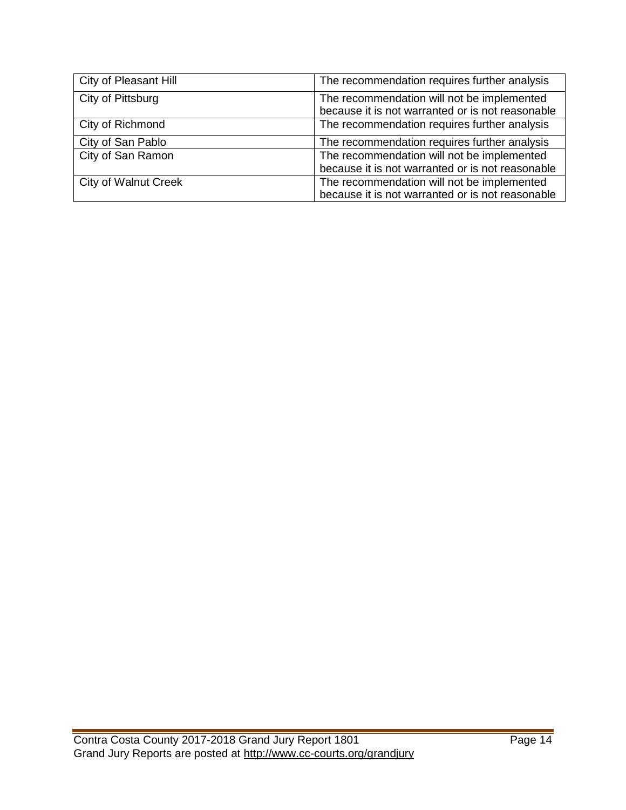| City of Pleasant Hill       | The recommendation requires further analysis                                                   |
|-----------------------------|------------------------------------------------------------------------------------------------|
| City of Pittsburg           | The recommendation will not be implemented<br>because it is not warranted or is not reasonable |
| City of Richmond            | The recommendation requires further analysis                                                   |
| City of San Pablo           | The recommendation requires further analysis                                                   |
| City of San Ramon           | The recommendation will not be implemented<br>because it is not warranted or is not reasonable |
| <b>City of Walnut Creek</b> | The recommendation will not be implemented<br>because it is not warranted or is not reasonable |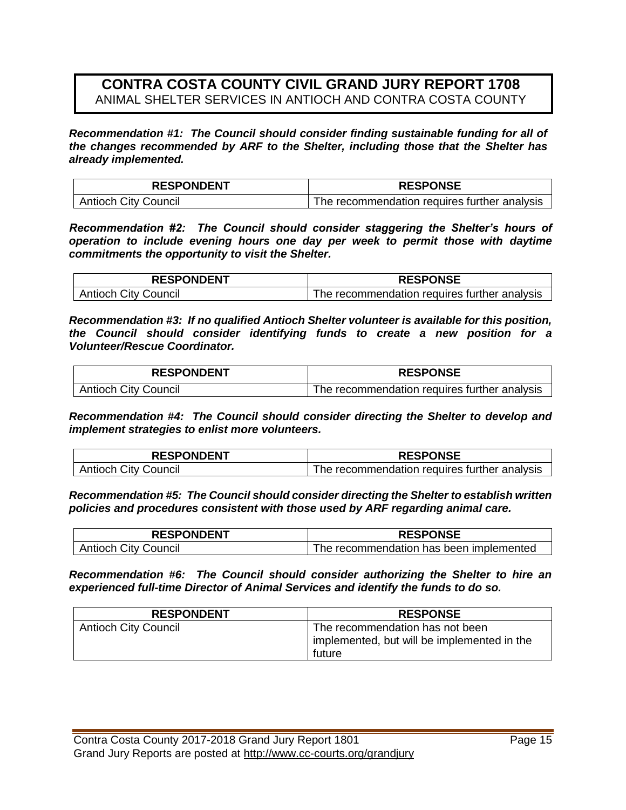#### **CONTRA COSTA COUNTY CIVIL GRAND JURY REPORT 1708** ANIMAL SHELTER SERVICES IN ANTIOCH AND CONTRA COSTA COUNTY

*Recommendation #1: The Council should consider finding sustainable funding for all of the changes recommended by ARF to the Shelter, including those that the Shelter has already implemented.*

| <b>RESPONDENT</b>           | <b>RESPONSE</b>                              |
|-----------------------------|----------------------------------------------|
| <b>Antioch City Council</b> | The recommendation requires further analysis |

*Recommendation #2: The Council should consider staggering the Shelter's hours of operation to include evening hours one day per week to permit those with daytime commitments the opportunity to visit the Shelter.*

| <b>RESPONDENT</b>           | <b>RESPONSE</b>                              |
|-----------------------------|----------------------------------------------|
| <b>Antioch City Council</b> | The recommendation requires further analysis |

*Recommendation #3: If no qualified Antioch Shelter volunteer is available for this position, the Council should consider identifying funds to create a new position for a Volunteer/Rescue Coordinator.*

| <b>RESPONDENT</b>           | <b>RESPONSE</b>                              |
|-----------------------------|----------------------------------------------|
| <b>Antioch City Council</b> | The recommendation requires further analysis |

*Recommendation #4: The Council should consider directing the Shelter to develop and implement strategies to enlist more volunteers.*

| <b>RESPONDENT</b>           | <b>RESPONSE</b>                              |
|-----------------------------|----------------------------------------------|
| <b>Antioch City Council</b> | The recommendation requires further analysis |

*Recommendation #5: The Council should consider directing the Shelter to establish written policies and procedures consistent with those used by ARF regarding animal care.*

| <b>RESPONDENT</b>           | <b>RESPONSE</b>                         |
|-----------------------------|-----------------------------------------|
| <b>Antioch City Council</b> | The recommendation has been implemented |

*Recommendation #6: The Council should consider authorizing the Shelter to hire an experienced full-time Director of Animal Services and identify the funds to do so.*

| <b>RESPONDENT</b>           | <b>RESPONSE</b>                             |
|-----------------------------|---------------------------------------------|
| <b>Antioch City Council</b> | The recommendation has not been             |
|                             | implemented, but will be implemented in the |
|                             | future                                      |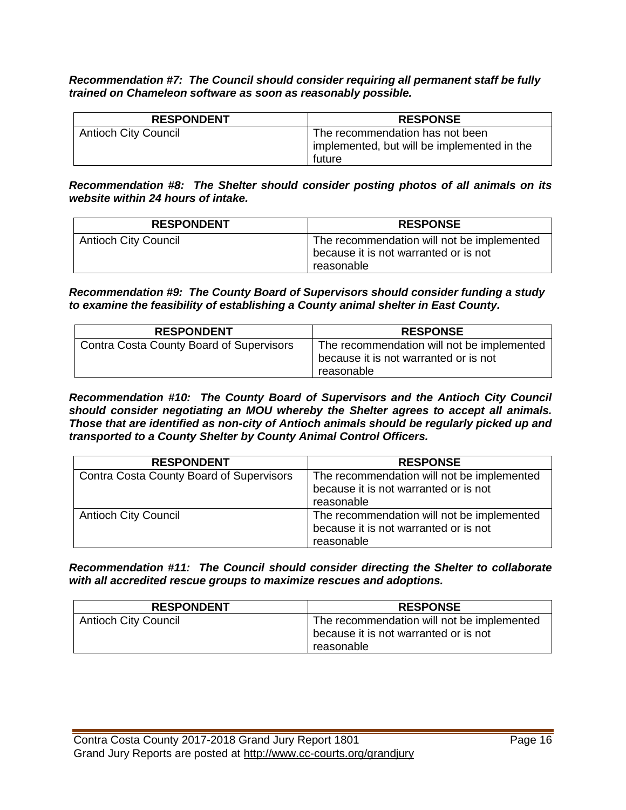*Recommendation #7: The Council should consider requiring all permanent staff be fully trained on Chameleon software as soon as reasonably possible.*

| <b>RESPONDENT</b>           | <b>RESPONSE</b>                             |
|-----------------------------|---------------------------------------------|
| <b>Antioch City Council</b> | The recommendation has not been             |
|                             | implemented, but will be implemented in the |
|                             | future                                      |

*Recommendation #8: The Shelter should consider posting photos of all animals on its website within 24 hours of intake.*

| <b>RESPONDENT</b>           | <b>RESPONSE</b>                                                                                   |
|-----------------------------|---------------------------------------------------------------------------------------------------|
| <b>Antioch City Council</b> | The recommendation will not be implemented<br>because it is not warranted or is not<br>reasonable |

*Recommendation #9: The County Board of Supervisors should consider funding a study to examine the feasibility of establishing a County animal shelter in East County.*

| <b>RESPONDENT</b>                        | <b>RESPONSE</b>                                                                                   |
|------------------------------------------|---------------------------------------------------------------------------------------------------|
| Contra Costa County Board of Supervisors | The recommendation will not be implemented<br>because it is not warranted or is not<br>reasonable |

*Recommendation #10: The County Board of Supervisors and the Antioch City Council should consider negotiating an MOU whereby the Shelter agrees to accept all animals. Those that are identified as non-city of Antioch animals should be regularly picked up and transported to a County Shelter by County Animal Control Officers.*

| <b>RESPONDENT</b>                        | <b>RESPONSE</b>                                                                                   |
|------------------------------------------|---------------------------------------------------------------------------------------------------|
| Contra Costa County Board of Supervisors | The recommendation will not be implemented<br>because it is not warranted or is not<br>reasonable |
| <b>Antioch City Council</b>              | The recommendation will not be implemented<br>because it is not warranted or is not<br>reasonable |

*Recommendation #11: The Council should consider directing the Shelter to collaborate with all accredited rescue groups to maximize rescues and adoptions.*

| <b>RESPONDENT</b>           | <b>RESPONSE</b>                            |
|-----------------------------|--------------------------------------------|
| <b>Antioch City Council</b> | The recommendation will not be implemented |
|                             | because it is not warranted or is not      |
|                             | reasonable                                 |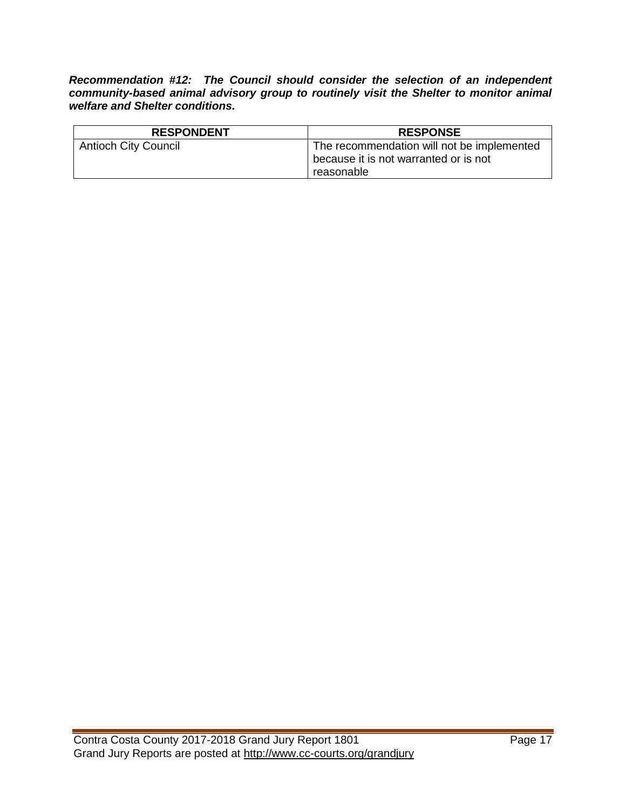*Recommendation #12: The Council should consider the selection of an independent community-based animal advisory group to routinely visit the Shelter to monitor animal welfare and Shelter conditions.*

| <b>RESPONDENT</b>           | <b>RESPONSE</b>                            |
|-----------------------------|--------------------------------------------|
| <b>Antioch City Council</b> | The recommendation will not be implemented |
|                             | because it is not warranted or is not      |
|                             | reasonable                                 |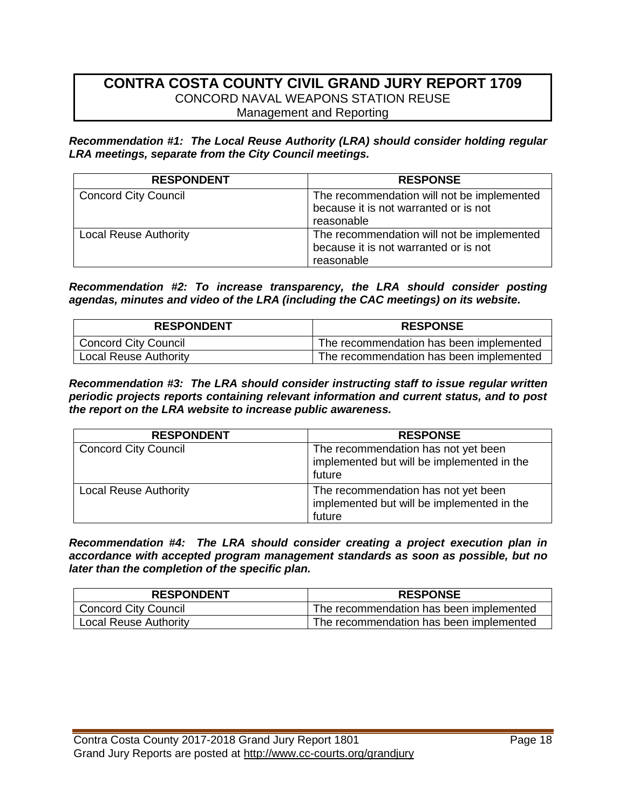#### **CONTRA COSTA COUNTY CIVIL GRAND JURY REPORT 1709** CONCORD NAVAL WEAPONS STATION REUSE Management and Reporting

*Recommendation #1: The Local Reuse Authority (LRA) should consider holding regular LRA meetings, separate from the City Council meetings.*

| <b>RESPONDENT</b>            | <b>RESPONSE</b>                                                                                   |
|------------------------------|---------------------------------------------------------------------------------------------------|
| <b>Concord City Council</b>  | The recommendation will not be implemented<br>because it is not warranted or is not<br>reasonable |
| <b>Local Reuse Authority</b> | The recommendation will not be implemented<br>because it is not warranted or is not<br>reasonable |

*Recommendation #2: To increase transparency, the LRA should consider posting agendas, minutes and video of the LRA (including the CAC meetings) on its website.*

| <b>RESPONDENT</b>            | <b>RESPONSE</b>                         |
|------------------------------|-----------------------------------------|
| <b>Concord City Council</b>  | The recommendation has been implemented |
| <b>Local Reuse Authority</b> | The recommendation has been implemented |

*Recommendation #3: The LRA should consider instructing staff to issue regular written periodic projects reports containing relevant information and current status, and to post the report on the LRA website to increase public awareness.*

| <b>RESPONDENT</b>            | <b>RESPONSE</b>                                                                             |
|------------------------------|---------------------------------------------------------------------------------------------|
| <b>Concord City Council</b>  | The recommendation has not yet been<br>implemented but will be implemented in the<br>future |
| <b>Local Reuse Authority</b> | The recommendation has not yet been<br>implemented but will be implemented in the<br>future |

*Recommendation #4: The LRA should consider creating a project execution plan in accordance with accepted program management standards as soon as possible, but no later than the completion of the specific plan.*

| <b>RESPONDENT</b>            | <b>RESPONSE</b>                         |
|------------------------------|-----------------------------------------|
| <b>Concord City Council</b>  | The recommendation has been implemented |
| <b>Local Reuse Authority</b> | The recommendation has been implemented |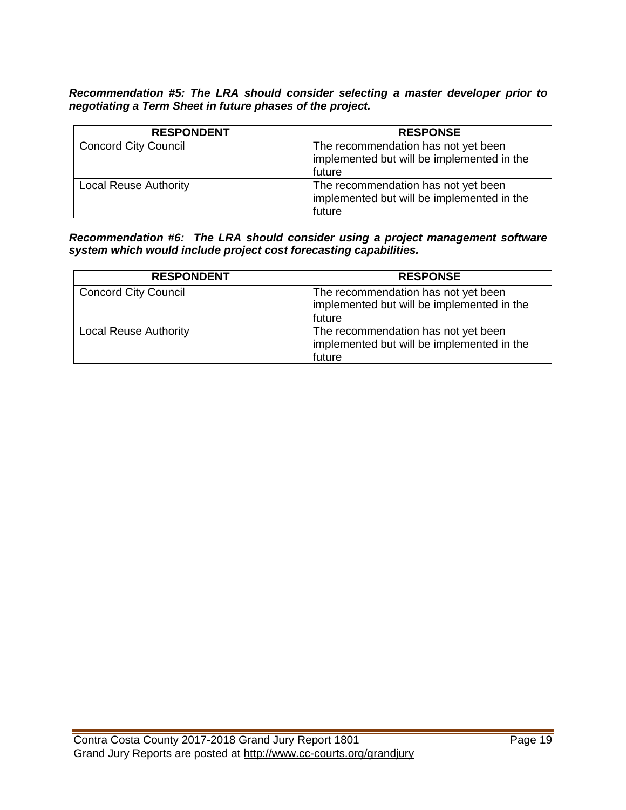*Recommendation #5: The LRA should consider selecting a master developer prior to negotiating a Term Sheet in future phases of the project.*

| <b>RESPONDENT</b>            | <b>RESPONSE</b>                            |
|------------------------------|--------------------------------------------|
| <b>Concord City Council</b>  | The recommendation has not yet been        |
|                              | implemented but will be implemented in the |
|                              | future                                     |
| <b>Local Reuse Authority</b> | The recommendation has not yet been        |
|                              | implemented but will be implemented in the |
|                              | future                                     |

*Recommendation #6: The LRA should consider using a project management software system which would include project cost forecasting capabilities.*

| <b>RESPONDENT</b>            | <b>RESPONSE</b>                                                                             |
|------------------------------|---------------------------------------------------------------------------------------------|
| <b>Concord City Council</b>  | The recommendation has not yet been<br>implemented but will be implemented in the<br>future |
| <b>Local Reuse Authority</b> | The recommendation has not yet been<br>implemented but will be implemented in the<br>future |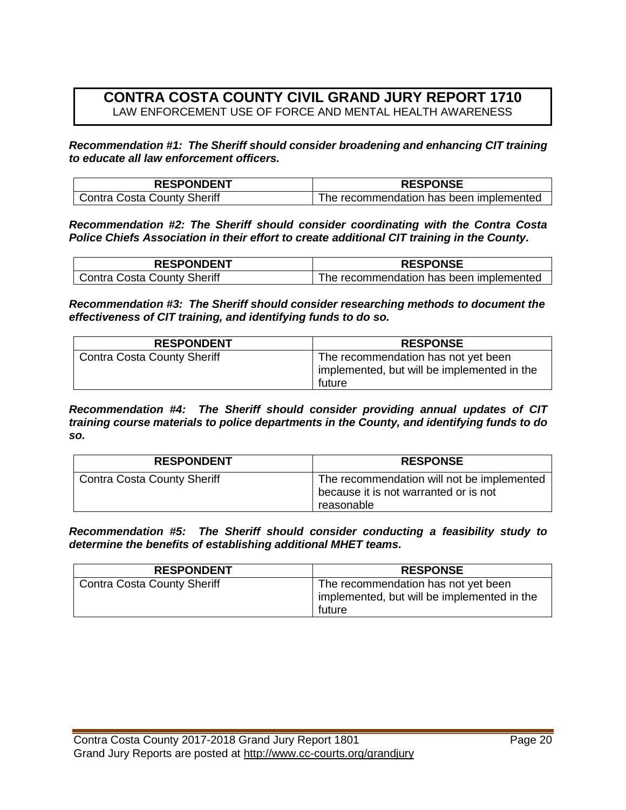### **CONTRA COSTA COUNTY CIVIL GRAND JURY REPORT 1710** LAW ENFORCEMENT USE OF FORCE AND MENTAL HEALTH AWARENESS

*Recommendation #1: The Sheriff should consider broadening and enhancing CIT training to educate all law enforcement officers.*

| <b>RESPONDENT</b>                  | <b>RESPONSE</b>                         |
|------------------------------------|-----------------------------------------|
| <b>Contra Costa County Sheriff</b> | The recommendation has been implemented |

*Recommendation #2: The Sheriff should consider coordinating with the Contra Costa Police Chiefs Association in their effort to create additional CIT training in the County.*

| <b>RESPONDENT</b>           | <b>RESPONSE</b>                         |
|-----------------------------|-----------------------------------------|
| Contra Costa County Sheriff | The recommendation has been implemented |

*Recommendation #3: The Sheriff should consider researching methods to document the effectiveness of CIT training, and identifying funds to do so.*

| <b>RESPONDENT</b>           | <b>RESPONSE</b>                             |
|-----------------------------|---------------------------------------------|
| Contra Costa County Sheriff | The recommendation has not yet been         |
|                             | implemented, but will be implemented in the |
|                             | future                                      |

*Recommendation #4: The Sheriff should consider providing annual updates of CIT training course materials to police departments in the County, and identifying funds to do so.*

| <b>RESPONDENT</b>                  | <b>RESPONSE</b>                                                                                   |
|------------------------------------|---------------------------------------------------------------------------------------------------|
| <b>Contra Costa County Sheriff</b> | The recommendation will not be implemented<br>because it is not warranted or is not<br>reasonable |

*Recommendation #5: The Sheriff should consider conducting a feasibility study to determine the benefits of establishing additional MHET teams.*

| <b>RESPONDENT</b>                  | <b>RESPONSE</b>                             |
|------------------------------------|---------------------------------------------|
| <b>Contra Costa County Sheriff</b> | The recommendation has not yet been         |
|                                    | implemented, but will be implemented in the |
|                                    | future                                      |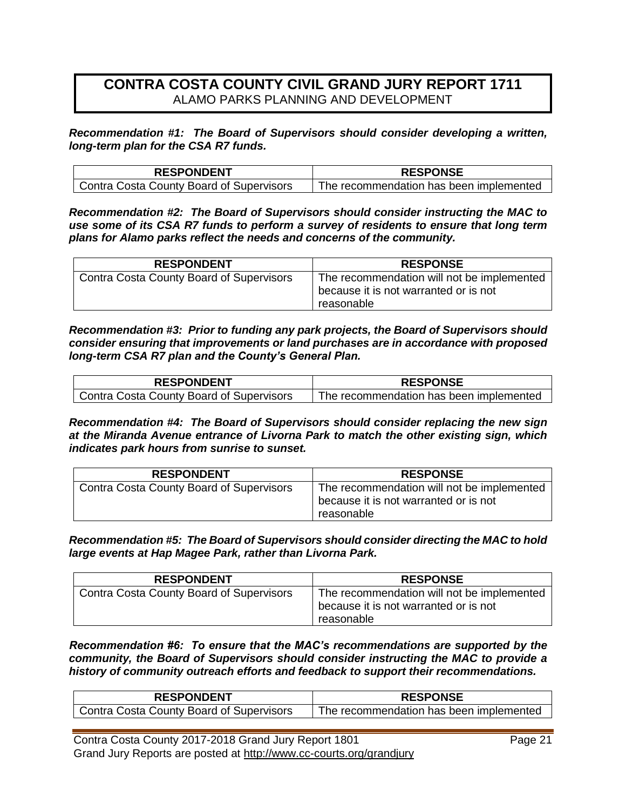#### **CONTRA COSTA COUNTY CIVIL GRAND JURY REPORT 1711** ALAMO PARKS PLANNING AND DEVELOPMENT

*Recommendation #1: The Board of Supervisors should consider developing a written, long-term plan for the CSA R7 funds.*

| <b>RESPONDENT</b>                        | <b>RESPONSE</b>                         |
|------------------------------------------|-----------------------------------------|
| Contra Costa County Board of Supervisors | The recommendation has been implemented |

*Recommendation #2: The Board of Supervisors should consider instructing the MAC to use some of its CSA R7 funds to perform a survey of residents to ensure that long term plans for Alamo parks reflect the needs and concerns of the community.*

| <b>RESPONDENT</b>                               | <b>RESPONSE</b>                                                                                   |
|-------------------------------------------------|---------------------------------------------------------------------------------------------------|
| <b>Contra Costa County Board of Supervisors</b> | The recommendation will not be implemented<br>because it is not warranted or is not<br>reasonable |

*Recommendation #3: Prior to funding any park projects, the Board of Supervisors should consider ensuring that improvements or land purchases are in accordance with proposed long-term CSA R7 plan and the County's General Plan.*

| <b>RESPONDENT</b>                        | <b>RESPONSE</b>                         |
|------------------------------------------|-----------------------------------------|
| Contra Costa County Board of Supervisors | The recommendation has been implemented |

*Recommendation #4: The Board of Supervisors should consider replacing the new sign at the Miranda Avenue entrance of Livorna Park to match the other existing sign, which indicates park hours from sunrise to sunset.*

| <b>RESPONDENT</b>                               | <b>RESPONSE</b>                                                                                   |
|-------------------------------------------------|---------------------------------------------------------------------------------------------------|
| <b>Contra Costa County Board of Supervisors</b> | The recommendation will not be implemented<br>because it is not warranted or is not<br>reasonable |

*Recommendation #5: The Board of Supervisors should consider directing the MAC to hold large events at Hap Magee Park, rather than Livorna Park.*

| <b>RESPONDENT</b>                               | <b>RESPONSE</b>                                                                                   |
|-------------------------------------------------|---------------------------------------------------------------------------------------------------|
| <b>Contra Costa County Board of Supervisors</b> | The recommendation will not be implemented<br>because it is not warranted or is not<br>reasonable |

*Recommendation #6: To ensure that the MAC's recommendations are supported by the community, the Board of Supervisors should consider instructing the MAC to provide a history of community outreach efforts and feedback to support their recommendations.*

| <b>RESPONDENT</b>                        | <b>RESPONSE</b>                         |
|------------------------------------------|-----------------------------------------|
| Contra Costa County Board of Supervisors | The recommendation has been implemented |

Contra Costa County 2017-2018 Grand Jury Report 1801 **Page 21** Grand Jury Reports are posted at http://www.cc-courts.org/grandjury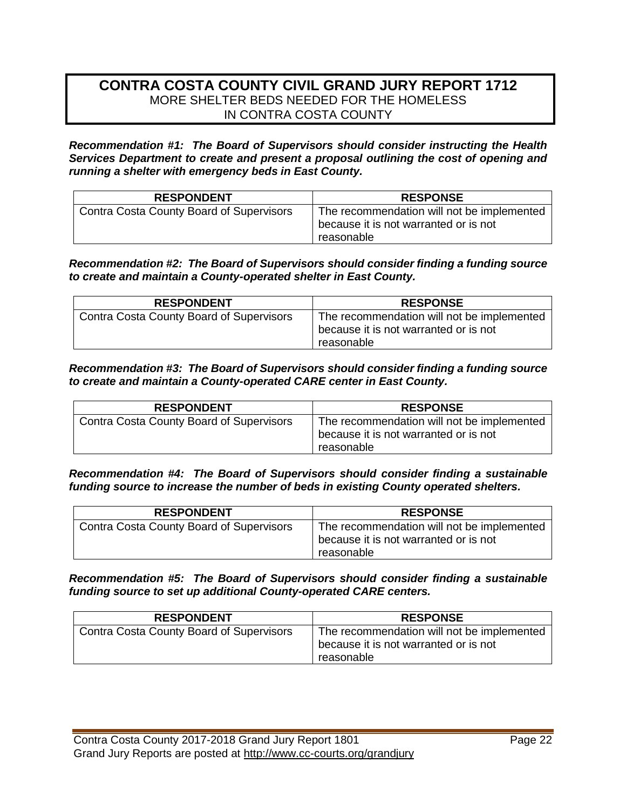#### **CONTRA COSTA COUNTY CIVIL GRAND JURY REPORT 1712** MORE SHELTER BEDS NEEDED FOR THE HOMELESS IN CONTRA COSTA COUNTY

*Recommendation #1: The Board of Supervisors should consider instructing the Health Services Department to create and present a proposal outlining the cost of opening and running a shelter with emergency beds in East County.*

| <b>RESPONDENT</b>                               | <b>RESPONSE</b>                                                                                   |
|-------------------------------------------------|---------------------------------------------------------------------------------------------------|
| <b>Contra Costa County Board of Supervisors</b> | The recommendation will not be implemented<br>because it is not warranted or is not<br>reasonable |

*Recommendation #2: The Board of Supervisors should consider finding a funding source to create and maintain a County-operated shelter in East County.*

| <b>RESPONDENT</b>                               | <b>RESPONSE</b>                            |
|-------------------------------------------------|--------------------------------------------|
| <b>Contra Costa County Board of Supervisors</b> | The recommendation will not be implemented |
|                                                 | because it is not warranted or is not      |
|                                                 | reasonable                                 |

*Recommendation #3: The Board of Supervisors should consider finding a funding source to create and maintain a County-operated CARE center in East County.*

| <b>RESPONDENT</b>                               | <b>RESPONSE</b>                                                                                   |
|-------------------------------------------------|---------------------------------------------------------------------------------------------------|
| <b>Contra Costa County Board of Supervisors</b> | The recommendation will not be implemented<br>because it is not warranted or is not<br>reasonable |

*Recommendation #4: The Board of Supervisors should consider finding a sustainable funding source to increase the number of beds in existing County operated shelters.*

| <b>RESPONDENT</b>                               | <b>RESPONSE</b>                                                                                   |
|-------------------------------------------------|---------------------------------------------------------------------------------------------------|
| <b>Contra Costa County Board of Supervisors</b> | The recommendation will not be implemented<br>because it is not warranted or is not<br>reasonable |

*Recommendation #5: The Board of Supervisors should consider finding a sustainable funding source to set up additional County-operated CARE centers.*

| <b>RESPONDENT</b>                               | <b>RESPONSE</b>                                                                                   |
|-------------------------------------------------|---------------------------------------------------------------------------------------------------|
| <b>Contra Costa County Board of Supervisors</b> | The recommendation will not be implemented<br>because it is not warranted or is not<br>reasonable |